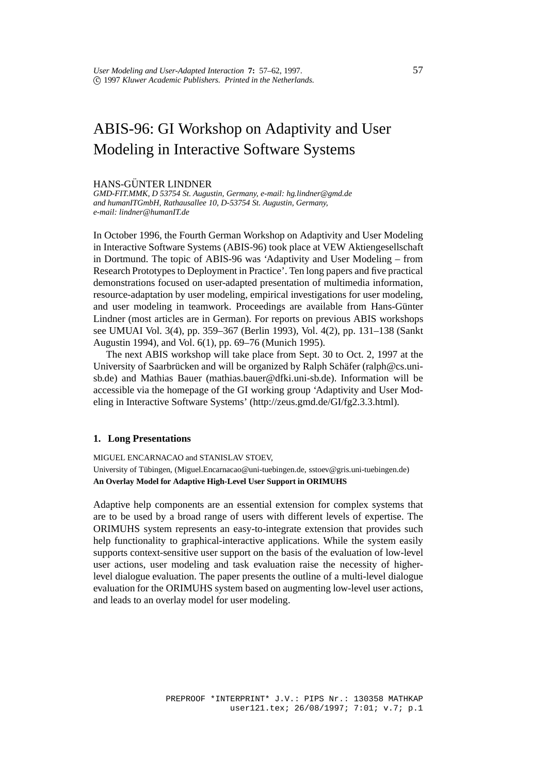# ABIS-96: GI Workshop on Adaptivity and User Modeling in Interactive Software Systems

### HANS-GÜNTER LINDNER

*GMD-FIT.MMK, D 53754 St. Augustin, Germany, e-mail: hg.lindner@gmd.de and humanITGmbH, Rathausallee 10, D-53754 St. Augustin, Germany, e-mail: lindner@humanIT.de*

In October 1996, the Fourth German Workshop on Adaptivity and User Modeling in Interactive Software Systems (ABIS-96) took place at VEW Aktiengesellschaft in Dortmund. The topic of ABIS-96 was 'Adaptivity and User Modeling – from Research Prototypes to Deployment in Practice'. Ten long papers and five practical demonstrations focused on user-adapted presentation of multimedia information, resource-adaptation by user modeling, empirical investigations for user modeling, and user modeling in teamwork. Proceedings are available from Hans-Günter Lindner (most articles are in German). For reports on previous ABIS workshops see UMUAI Vol. 3(4), pp. 359–367 (Berlin 1993), Vol. 4(2), pp. 131–138 (Sankt Augustin 1994), and Vol. 6(1), pp. 69–76 (Munich 1995).

The next ABIS workshop will take place from Sept. 30 to Oct. 2, 1997 at the University of Saarbrücken and will be organized by Ralph Schäfer (ralph@cs.unisb.de) and Mathias Bauer (mathias.bauer@dfki.uni-sb.de). Information will be accessible via the homepage of the GI working group 'Adaptivity and User Modeling in Interactive Software Systems' (http://zeus.gmd.de/GI/fg2.3.3.html).

# **1. Long Presentations**

MIGUEL ENCARNACAO and STANISLAV STOEV, University of Tubingen, (Miguel.Encarnacao@uni-tuebingen.de, sstoev@gris.uni-tuebingen.de) ¨ **An Overlay Model for Adaptive High-Level User Support in ORIMUHS**

Adaptive help components are an essential extension for complex systems that are to be used by a broad range of users with different levels of expertise. The ORIMUHS system represents an easy-to-integrate extension that provides such help functionality to graphical-interactive applications. While the system easily supports context-sensitive user support on the basis of the evaluation of low-level user actions, user modeling and task evaluation raise the necessity of higherlevel dialogue evaluation. The paper presents the outline of a multi-level dialogue evaluation for the ORIMUHS system based on augmenting low-level user actions, and leads to an overlay model for user modeling.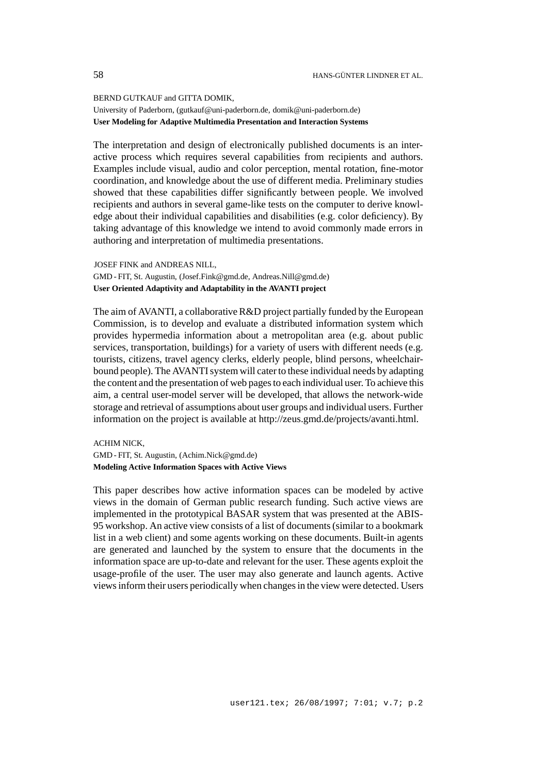### BERND GUTKAUF and GITTA DOMIK,

# University of Paderborn, (gutkauf@uni-paderborn.de, domik@uni-paderborn.de) **User Modeling for Adaptive Multimedia Presentation and Interaction Systems**

The interpretation and design of electronically published documents is an interactive process which requires several capabilities from recipients and authors. Examples include visual, audio and color perception, mental rotation, fine-motor coordination, and knowledge about the use of different media. Preliminary studies showed that these capabilities differ significantly between people. We involved recipients and authors in several game-like tests on the computer to derive knowledge about their individual capabilities and disabilities (e.g. color deficiency). By taking advantage of this knowledge we intend to avoid commonly made errors in authoring and interpretation of multimedia presentations.

JOSEF FINK and ANDREAS NILL, GMD - FIT, St. Augustin, (Josef.Fink@gmd.de, Andreas.Nill@gmd.de) **User Oriented Adaptivity and Adaptability in the AVANTI project**

The aim of AVANTI, a collaborative R&D project partially funded by the European Commission, is to develop and evaluate a distributed information system which provides hypermedia information about a metropolitan area (e.g. about public services, transportation, buildings) for a variety of users with different needs (e.g. tourists, citizens, travel agency clerks, elderly people, blind persons, wheelchairbound people). The AVANTI system will cater to these individual needs by adapting the content and the presentation of web pages to each individual user. To achieve this aim, a central user-model server will be developed, that allows the network-wide storage and retrieval of assumptions about user groups and individual users. Further information on the project is available at http://zeus.gmd.de/projects/avanti.html.

ACHIM NICK, GMD - FIT, St. Augustin, (Achim.Nick@gmd.de) **Modeling Active Information Spaces with Active Views**

This paper describes how active information spaces can be modeled by active views in the domain of German public research funding. Such active views are implemented in the prototypical BASAR system that was presented at the ABIS-95 workshop. An active view consists of a list of documents (similar to a bookmark list in a web client) and some agents working on these documents. Built-in agents are generated and launched by the system to ensure that the documents in the information space are up-to-date and relevant for the user. These agents exploit the usage-profile of the user. The user may also generate and launch agents. Active views inform their users periodically when changes in the view were detected. Users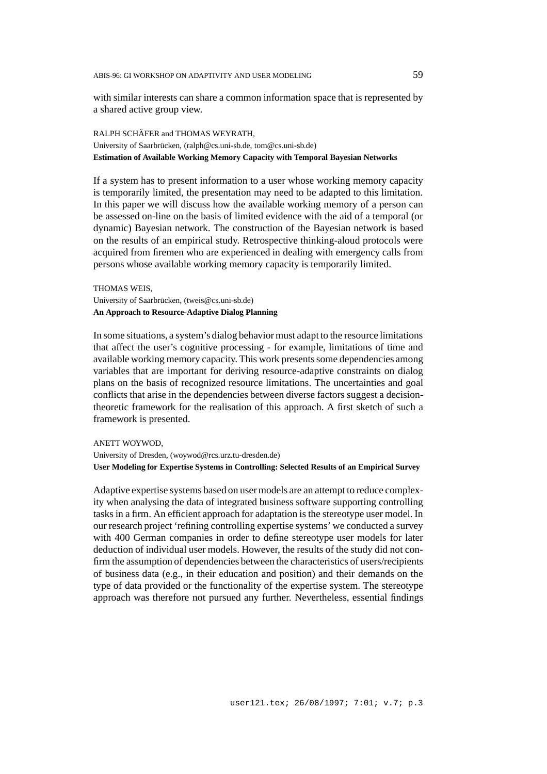with similar interests can share a common information space that is represented by a shared active group view.

RALPH SCHÄFER and THOMAS WEYRATH, University of Saarbrücken, (ralph@cs.uni-sb.de, tom@cs.uni-sb.de) **Estimation of Available Working Memory Capacity with Temporal Bayesian Networks**

If a system has to present information to a user whose working memory capacity is temporarily limited, the presentation may need to be adapted to this limitation. In this paper we will discuss how the available working memory of a person can be assessed on-line on the basis of limited evidence with the aid of a temporal (or dynamic) Bayesian network. The construction of the Bayesian network is based on the results of an empirical study. Retrospective thinking-aloud protocols were acquired from firemen who are experienced in dealing with emergency calls from persons whose available working memory capacity is temporarily limited.

THOMAS WEIS,

University of Saarbrücken, (tweis@cs.uni-sb.de) **An Approach to Resource-Adaptive Dialog Planning**

In some situations, a system's dialog behavior must adapt to the resource limitations that affect the user's cognitive processing - for example, limitations of time and available working memory capacity. This work presents some dependencies among variables that are important for deriving resource-adaptive constraints on dialog plans on the basis of recognized resource limitations. The uncertainties and goal conflicts that arise in the dependencies between diverse factors suggest a decisiontheoretic framework for the realisation of this approach. A first sketch of such a framework is presented.

ANETT WOYWOD,

University of Dresden, (woywod@rcs.urz.tu-dresden.de)

**User Modeling for Expertise Systems in Controlling: Selected Results of an Empirical Survey**

Adaptive expertise systems based on user models are an attempt to reduce complexity when analysing the data of integrated business software supporting controlling tasks in a firm. An efficient approach for adaptation is the stereotype user model. In our research project 'refining controlling expertise systems' we conducted a survey with 400 German companies in order to define stereotype user models for later deduction of individual user models. However, the results of the study did not confirm the assumption of dependencies between the characteristics of users/recipients of business data (e.g., in their education and position) and their demands on the type of data provided or the functionality of the expertise system. The stereotype approach was therefore not pursued any further. Nevertheless, essential findings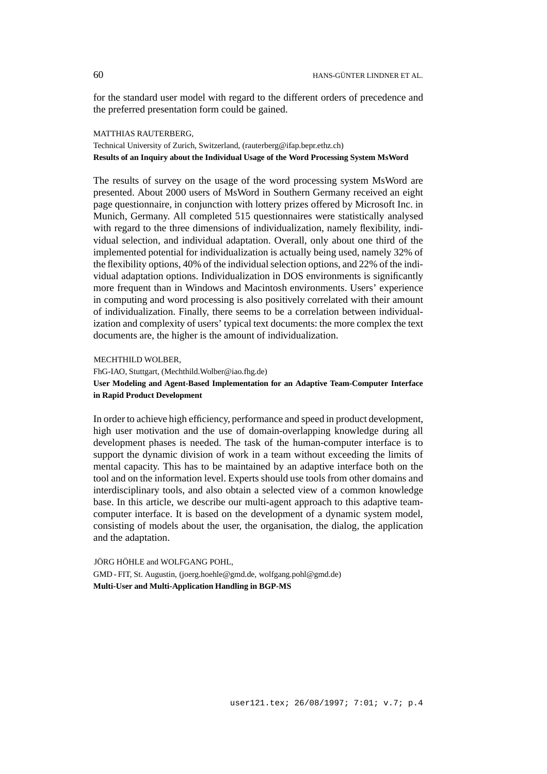for the standard user model with regard to the different orders of precedence and the preferred presentation form could be gained.

## MATTHIAS RAUTERBERG,

Technical University of Zurich, Switzerland, (rauterberg@ifap.bepr.ethz.ch) **Results of an Inquiry about the Individual Usage of the Word Processing System MsWord**

The results of survey on the usage of the word processing system MsWord are presented. About 2000 users of MsWord in Southern Germany received an eight page questionnaire, in conjunction with lottery prizes offered by Microsoft Inc. in Munich, Germany. All completed 515 questionnaires were statistically analysed with regard to the three dimensions of individualization, namely flexibility, individual selection, and individual adaptation. Overall, only about one third of the implemented potential for individualization is actually being used, namely 32% of the flexibility options, 40% of the individual selection options, and 22% of the individual adaptation options. Individualization in DOS environments is significantly more frequent than in Windows and Macintosh environments. Users' experience in computing and word processing is also positively correlated with their amount of individualization. Finally, there seems to be a correlation between individualization and complexity of users' typical text documents: the more complex the text documents are, the higher is the amount of individualization.

## MECHTHILD WOLBER,

FhG-IAO, Stuttgart, (Mechthild.Wolber@iao.fhg.de) **User Modeling and Agent-Based Implementation for an Adaptive Team-Computer Interface in Rapid Product Development**

In order to achieve high efficiency, performance and speed in product development, high user motivation and the use of domain-overlapping knowledge during all development phases is needed. The task of the human-computer interface is to support the dynamic division of work in a team without exceeding the limits of mental capacity. This has to be maintained by an adaptive interface both on the tool and on the information level. Experts should use tools from other domains and interdisciplinary tools, and also obtain a selected view of a common knowledge base. In this article, we describe our multi-agent approach to this adaptive teamcomputer interface. It is based on the development of a dynamic system model, consisting of models about the user, the organisation, the dialog, the application and the adaptation.

JÖRG HÖHLE and WOLFGANG POHL.

GMD - FIT, St. Augustin, (joerg.hoehle@gmd.de, wolfgang.pohl@gmd.de) **Multi-User and Multi-Application Handling in BGP-MS**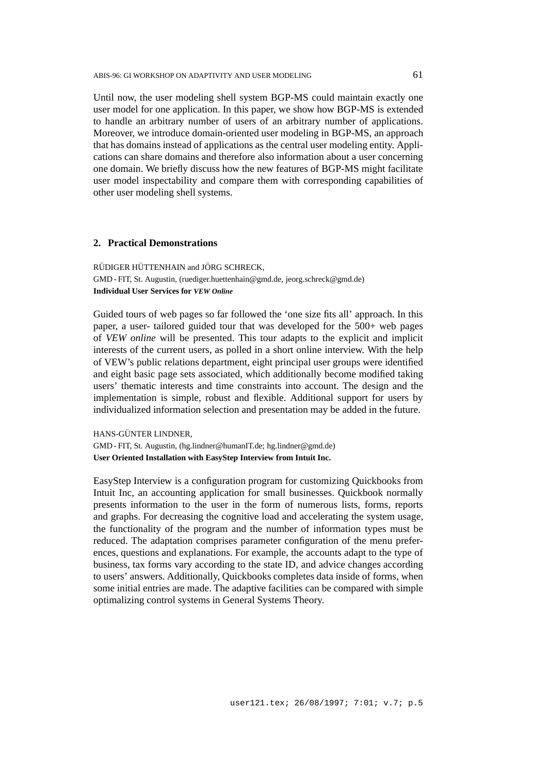Until now, the user modeling shell system BGP-MS could maintain exactly one user model for one application. In this paper, we show how BGP-MS is extended to handle an arbitrary number of users of an arbitrary number of applications. Moreover, we introduce domain-oriented user modeling in BGP-MS, an approach that has domains instead of applications as the central user modeling entity. Applications can share domains and therefore also information about a user concerning one domain. We briefly discuss how the new features of BGP-MS might facilitate user model inspectability and compare them with corresponding capabilities of other user modeling shell systems.

# **2. Practical Demonstrations**

RÜDIGER HÜTTENHAIN and JÖRG SCHRECK. GMD - FIT, St. Augustin, (ruediger.huettenhain@gmd.de, jeorg.schreck@gmd.de) **Individual User Services for** *VEW Online*

Guided tours of web pages so far followed the 'one size fits all' approach. In this paper, a user- tailored guided tour that was developed for the 500+ web pages of *VEW online* will be presented. This tour adapts to the explicit and implicit interests of the current users, as polled in a short online interview. With the help of VEW's public relations department, eight principal user groups were identified and eight basic page sets associated, which additionally become modified taking users' thematic interests and time constraints into account. The design and the implementation is simple, robust and flexible. Additional support for users by individualized information selection and presentation may be added in the future.

HANS-GÜNTER LINDNER, GMD - FIT, St. Augustin, (hg.lindner@humanIT.de; hg.lindner@gmd.de) **User Oriented Installation with EasyStep Interview from Intuit Inc.**

EasyStep Interview is a configuration program for customizing Quickbooks from Intuit Inc, an accounting application for small businesses. Quickbook normally presents information to the user in the form of numerous lists, forms, reports and graphs. For decreasing the cognitive load and accelerating the system usage, the functionality of the program and the number of information types must be reduced. The adaptation comprises parameter configuration of the menu preferences, questions and explanations. For example, the accounts adapt to the type of business, tax forms vary according to the state ID, and advice changes according to users' answers. Additionally, Quickbooks completes data inside of forms, when some initial entries are made. The adaptive facilities can be compared with simple optimalizing control systems in General Systems Theory.